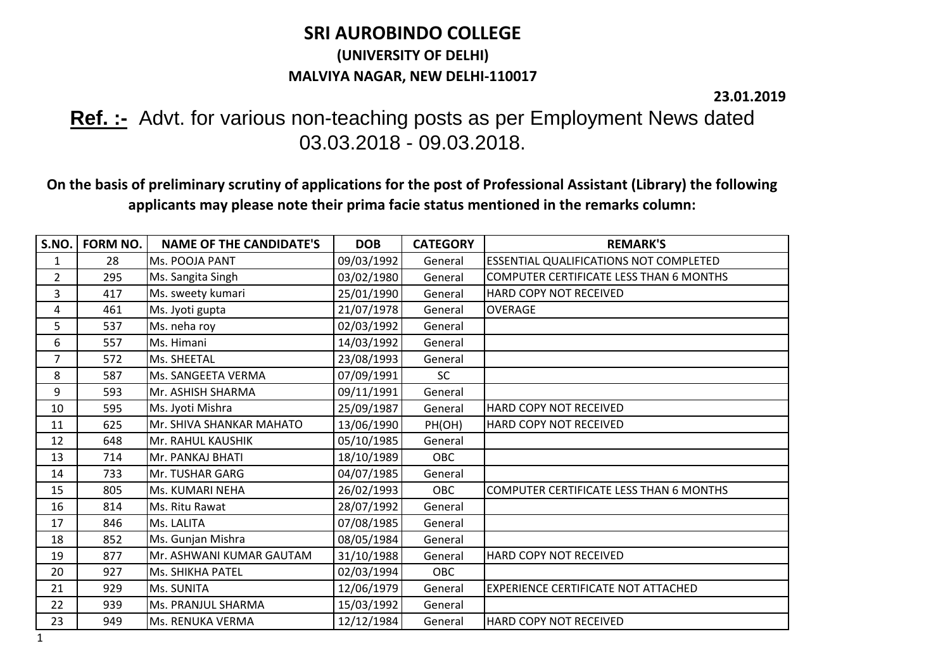## **SRI AUROBINDO COLLEGE (UNIVERSITY OF DELHI) MALVIYA NAGAR, NEW DELHI-110017**

**23.01.2019**

## **Ref. :-** Advt. for various non-teaching posts as per Employment News dated 03.03.2018 - 09.03.2018.

**On the basis of preliminary scrutiny of applications for the post of Professional Assistant (Library) the following applicants may please note their prima facie status mentioned in the remarks column:**

| S.NO.          | FORM NO. | <b>NAME OF THE CANDIDATE'S</b> | <b>DOB</b> | <b>CATEGORY</b> | <b>REMARK'S</b>                                |
|----------------|----------|--------------------------------|------------|-----------------|------------------------------------------------|
| 1              | 28       | Ms. POOJA PANT                 | 09/03/1992 | General         | ESSENTIAL QUALIFICATIONS NOT COMPLETED         |
| $\overline{2}$ | 295      | Ms. Sangita Singh              | 03/02/1980 | General         | COMPUTER CERTIFICATE LESS THAN 6 MONTHS        |
| 3              | 417      | Ms. sweety kumari              | 25/01/1990 | General         | HARD COPY NOT RECEIVED                         |
| 4              | 461      | Ms. Jyoti gupta                | 21/07/1978 | General         | <b>OVERAGE</b>                                 |
| 5              | 537      | Ms. neha roy                   | 02/03/1992 | General         |                                                |
| 6              | 557      | Ms. Himani                     | 14/03/1992 | General         |                                                |
| 7              | 572      | Ms. SHEETAL                    | 23/08/1993 | General         |                                                |
| 8              | 587      | Ms. SANGEETA VERMA             | 07/09/1991 | <b>SC</b>       |                                                |
| 9              | 593      | Mr. ASHISH SHARMA              | 09/11/1991 | General         |                                                |
| 10             | 595      | Ms. Jyoti Mishra               | 25/09/1987 | General         | HARD COPY NOT RECEIVED                         |
| 11             | 625      | Mr. SHIVA SHANKAR MAHATO       | 13/06/1990 | PH(OH)          | HARD COPY NOT RECEIVED                         |
| 12             | 648      | <b>Mr. RAHUL KAUSHIK</b>       | 05/10/1985 | General         |                                                |
| 13             | 714      | Mr. PANKAJ BHATI               | 18/10/1989 | OBC             |                                                |
| 14             | 733      | Mr. TUSHAR GARG                | 04/07/1985 | General         |                                                |
| 15             | 805      | Ms. KUMARI NEHA                | 26/02/1993 | <b>OBC</b>      | <b>COMPUTER CERTIFICATE LESS THAN 6 MONTHS</b> |
| 16             | 814      | Ms. Ritu Rawat                 | 28/07/1992 | General         |                                                |
| 17             | 846      | Ms. LALITA                     | 07/08/1985 | General         |                                                |
| 18             | 852      | Ms. Gunjan Mishra              | 08/05/1984 | General         |                                                |
| 19             | 877      | Mr. ASHWANI KUMAR GAUTAM       | 31/10/1988 | General         | HARD COPY NOT RECEIVED                         |
| 20             | 927      | <b>Ms. SHIKHA PATEL</b>        | 02/03/1994 | OBC             |                                                |
| 21             | 929      | <b>Ms. SUNITA</b>              | 12/06/1979 | General         | EXPERIENCE CERTIFICATE NOT ATTACHED            |
| 22             | 939      | Ms. PRANJUL SHARMA             | 15/03/1992 | General         |                                                |
| 23             | 949      | Ms. RENUKA VERMA               | 12/12/1984 | General         | HARD COPY NOT RECEIVED                         |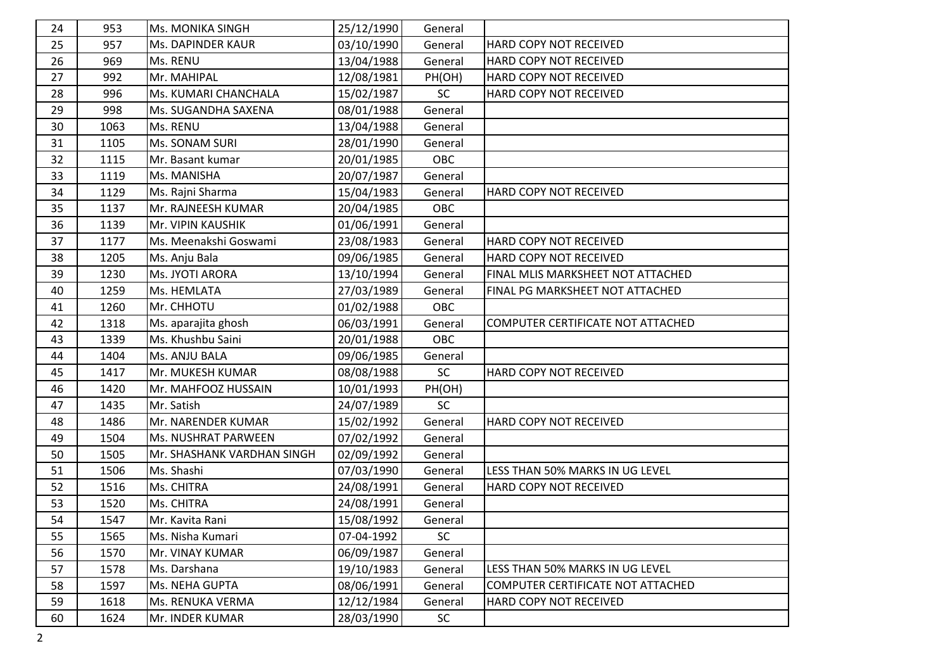| 24<br>25<br>26<br>27<br>28 | 953<br>957<br>969 | Ms. MONIKA SINGH<br>Ms. DAPINDER KAUR | 25/12/1990<br>03/10/1990 | General   |                                   |
|----------------------------|-------------------|---------------------------------------|--------------------------|-----------|-----------------------------------|
|                            |                   |                                       |                          |           |                                   |
|                            |                   |                                       |                          | General   | HARD COPY NOT RECEIVED            |
|                            |                   | Ms. RENU                              | 13/04/1988               | General   | HARD COPY NOT RECEIVED            |
|                            | 992               | Mr. MAHIPAL                           | 12/08/1981               | PH(OH)    | HARD COPY NOT RECEIVED            |
|                            | 996               | Ms. KUMARI CHANCHALA                  | 15/02/1987               | SC        | HARD COPY NOT RECEIVED            |
| 29                         | 998               | Ms. SUGANDHA SAXENA                   | 08/01/1988               | General   |                                   |
| 30                         | 1063              | Ms. RENU                              | 13/04/1988               | General   |                                   |
| 31                         | 1105              | Ms. SONAM SURI                        | 28/01/1990               | General   |                                   |
| 32                         | 1115              | Mr. Basant kumar                      | 20/01/1985               | OBC       |                                   |
| 33                         | 1119              | Ms. MANISHA                           | 20/07/1987               | General   |                                   |
| 34                         | 1129              | Ms. Rajni Sharma                      | 15/04/1983               | General   | HARD COPY NOT RECEIVED            |
| 35                         | 1137              | Mr. RAJNEESH KUMAR                    | 20/04/1985               | OBC       |                                   |
| 36                         | 1139              | Mr. VIPIN KAUSHIK                     | 01/06/1991               | General   |                                   |
| 37                         | 1177              | Ms. Meenakshi Goswami                 | 23/08/1983               | General   | HARD COPY NOT RECEIVED            |
| 38                         | 1205              | Ms. Anju Bala                         | 09/06/1985               | General   | HARD COPY NOT RECEIVED            |
| 39                         | 1230              | Ms. JYOTI ARORA                       | 13/10/1994               | General   | FINAL MLIS MARKSHEET NOT ATTACHED |
| 40                         | 1259              | Ms. HEMLATA                           | 27/03/1989               | General   | FINAL PG MARKSHEET NOT ATTACHED   |
| 41                         | 1260              | Mr. CHHOTU                            | 01/02/1988               | OBC       |                                   |
| 42                         | 1318              | Ms. aparajita ghosh                   | 06/03/1991               | General   | COMPUTER CERTIFICATE NOT ATTACHED |
| 43                         | 1339              | Ms. Khushbu Saini                     | 20/01/1988               | OBC       |                                   |
| 44                         | 1404              | Ms. ANJU BALA                         | 09/06/1985               | General   |                                   |
| 45                         | 1417              | Mr. MUKESH KUMAR                      | 08/08/1988               | SC        | HARD COPY NOT RECEIVED            |
| 46                         | 1420              | Mr. MAHFOOZ HUSSAIN                   | 10/01/1993               | PH(OH)    |                                   |
| 47                         | 1435              | Mr. Satish                            | 24/07/1989               | SC        |                                   |
| 48                         | 1486              | Mr. NARENDER KUMAR                    | 15/02/1992               | General   | HARD COPY NOT RECEIVED            |
| 49                         | 1504              | Ms. NUSHRAT PARWEEN                   | 07/02/1992               | General   |                                   |
| 50                         | 1505              | Mr. SHASHANK VARDHAN SINGH            | 02/09/1992               | General   |                                   |
| 51                         | 1506              | Ms. Shashi                            | 07/03/1990               | General   | LESS THAN 50% MARKS IN UG LEVEL   |
| 52                         | 1516              | Ms. CHITRA                            | 24/08/1991               | General   | HARD COPY NOT RECEIVED            |
| 53                         | 1520              | Ms. CHITRA                            | 24/08/1991               | General   |                                   |
| 54                         | 1547              | Mr. Kavita Rani                       | 15/08/1992               | General   |                                   |
| 55                         | 1565              | Ms. Nisha Kumari                      | 07-04-1992               | <b>SC</b> |                                   |
| 56                         | 1570              | Mr. VINAY KUMAR                       | 06/09/1987               | General   |                                   |
| 57                         | 1578              | Ms. Darshana                          | 19/10/1983               | General   | LESS THAN 50% MARKS IN UG LEVEL   |
| 58                         | 1597              | Ms. NEHA GUPTA                        | 08/06/1991               | General   | COMPUTER CERTIFICATE NOT ATTACHED |
| 59                         | 1618              | Ms. RENUKA VERMA                      | 12/12/1984               | General   | HARD COPY NOT RECEIVED            |
|                            | 1624              | Mr. INDER KUMAR                       | 28/03/1990               | <b>SC</b> |                                   |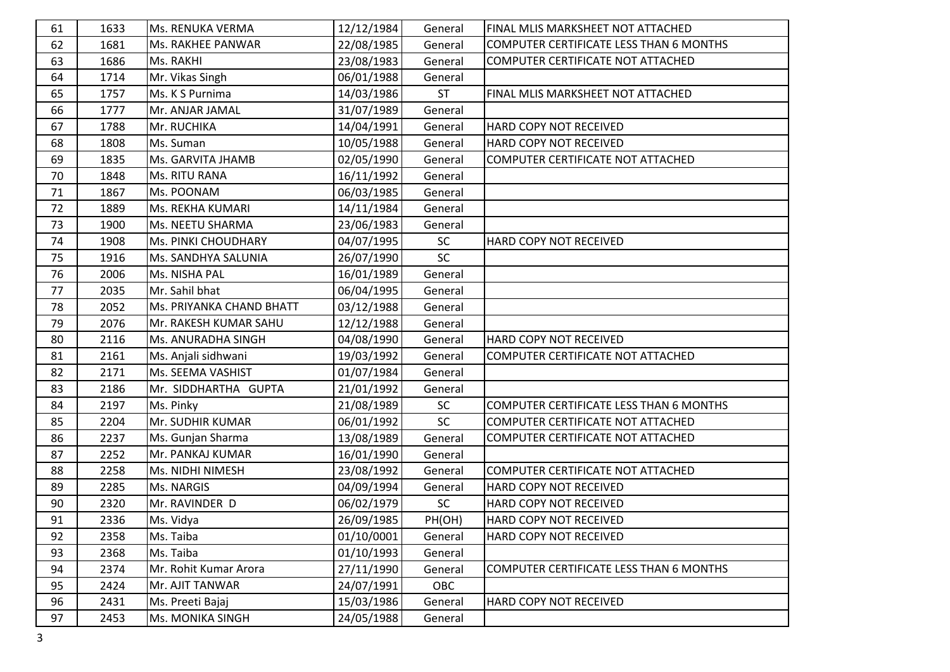| 61 | 1633 | Ms. RENUKA VERMA         | 12/12/1984 | General   | FINAL MLIS MARKSHEET NOT ATTACHED              |
|----|------|--------------------------|------------|-----------|------------------------------------------------|
| 62 | 1681 | Ms. RAKHEE PANWAR        | 22/08/1985 | General   | <b>COMPUTER CERTIFICATE LESS THAN 6 MONTHS</b> |
| 63 | 1686 | Ms. RAKHI                | 23/08/1983 | General   | COMPUTER CERTIFICATE NOT ATTACHED              |
| 64 | 1714 | Mr. Vikas Singh          | 06/01/1988 | General   |                                                |
| 65 | 1757 | Ms. K S Purnima          | 14/03/1986 | <b>ST</b> | FINAL MLIS MARKSHEET NOT ATTACHED              |
| 66 | 1777 | Mr. ANJAR JAMAL          | 31/07/1989 | General   |                                                |
| 67 | 1788 | Mr. RUCHIKA              | 14/04/1991 | General   | HARD COPY NOT RECEIVED                         |
| 68 | 1808 | Ms. Suman                | 10/05/1988 | General   | HARD COPY NOT RECEIVED                         |
| 69 | 1835 | Ms. GARVITA JHAMB        | 02/05/1990 | General   | COMPUTER CERTIFICATE NOT ATTACHED              |
| 70 | 1848 | Ms. RITU RANA            | 16/11/1992 | General   |                                                |
| 71 | 1867 | Ms. POONAM               | 06/03/1985 | General   |                                                |
| 72 | 1889 | Ms. REKHA KUMARI         | 14/11/1984 | General   |                                                |
| 73 | 1900 | Ms. NEETU SHARMA         | 23/06/1983 | General   |                                                |
| 74 | 1908 | Ms. PINKI CHOUDHARY      | 04/07/1995 | SC        | HARD COPY NOT RECEIVED                         |
| 75 | 1916 | Ms. SANDHYA SALUNIA      | 26/07/1990 | SC        |                                                |
| 76 | 2006 | Ms. NISHA PAL            | 16/01/1989 | General   |                                                |
| 77 | 2035 | Mr. Sahil bhat           | 06/04/1995 | General   |                                                |
| 78 | 2052 | Ms. PRIYANKA CHAND BHATT | 03/12/1988 | General   |                                                |
| 79 | 2076 | Mr. RAKESH KUMAR SAHU    | 12/12/1988 | General   |                                                |
| 80 | 2116 | Ms. ANURADHA SINGH       | 04/08/1990 | General   | HARD COPY NOT RECEIVED                         |
| 81 | 2161 | Ms. Anjali sidhwani      | 19/03/1992 | General   | COMPUTER CERTIFICATE NOT ATTACHED              |
| 82 | 2171 | Ms. SEEMA VASHIST        | 01/07/1984 | General   |                                                |
| 83 | 2186 | Mr. SIDDHARTHA GUPTA     | 21/01/1992 | General   |                                                |
| 84 | 2197 | Ms. Pinky                | 21/08/1989 | SC        | COMPUTER CERTIFICATE LESS THAN 6 MONTHS        |
| 85 | 2204 | Mr. SUDHIR KUMAR         | 06/01/1992 | SC        | COMPUTER CERTIFICATE NOT ATTACHED              |
| 86 | 2237 | Ms. Gunjan Sharma        | 13/08/1989 | General   | COMPUTER CERTIFICATE NOT ATTACHED              |
| 87 | 2252 | Mr. PANKAJ KUMAR         | 16/01/1990 | General   |                                                |
| 88 | 2258 | Ms. NIDHI NIMESH         | 23/08/1992 | General   | COMPUTER CERTIFICATE NOT ATTACHED              |
| 89 | 2285 | Ms. NARGIS               | 04/09/1994 | General   | HARD COPY NOT RECEIVED                         |
| 90 | 2320 | Mr. RAVINDER D           | 06/02/1979 | <b>SC</b> | HARD COPY NOT RECEIVED                         |
| 91 | 2336 | Ms. Vidya                | 26/09/1985 | PH(OH)    | HARD COPY NOT RECEIVED                         |
| 92 | 2358 | Ms. Taiba                | 01/10/0001 | General   | HARD COPY NOT RECEIVED                         |
| 93 | 2368 | Ms. Taiba                | 01/10/1993 | General   |                                                |
| 94 | 2374 | Mr. Rohit Kumar Arora    | 27/11/1990 | General   | COMPUTER CERTIFICATE LESS THAN 6 MONTHS        |
| 95 | 2424 | Mr. AJIT TANWAR          | 24/07/1991 | OBC       |                                                |
| 96 | 2431 | Ms. Preeti Bajaj         | 15/03/1986 | General   | HARD COPY NOT RECEIVED                         |
| 97 | 2453 | Ms. MONIKA SINGH         | 24/05/1988 | General   |                                                |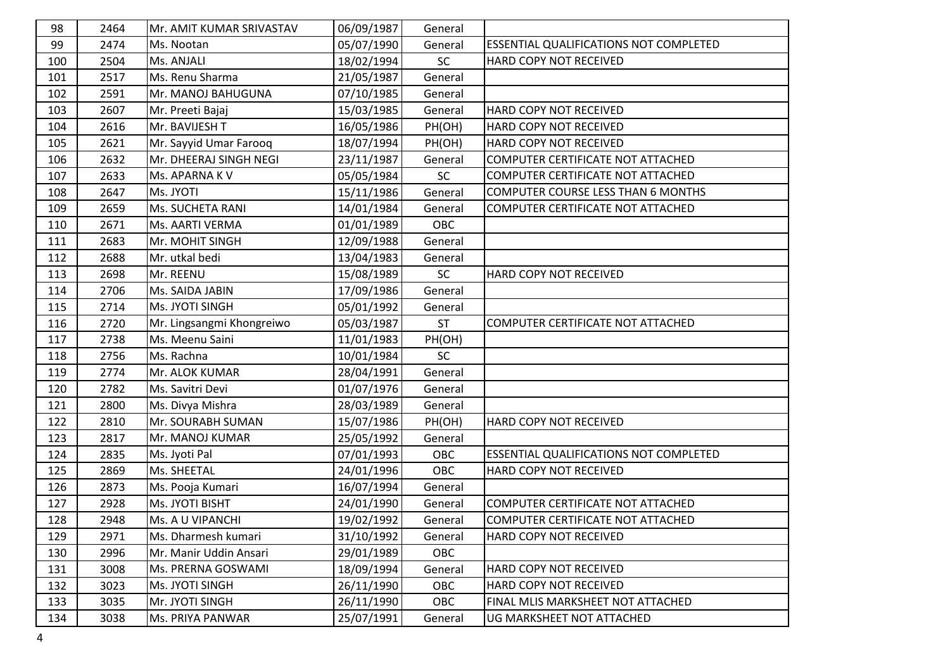| 98  | 2464 | Mr. AMIT KUMAR SRIVASTAV  | 06/09/1987 | General   |                                               |
|-----|------|---------------------------|------------|-----------|-----------------------------------------------|
| 99  | 2474 | Ms. Nootan                | 05/07/1990 | General   | <b>ESSENTIAL QUALIFICATIONS NOT COMPLETED</b> |
| 100 | 2504 | Ms. ANJALI                | 18/02/1994 | SC        | HARD COPY NOT RECEIVED                        |
| 101 | 2517 | Ms. Renu Sharma           | 21/05/1987 | General   |                                               |
| 102 | 2591 | Mr. MANOJ BAHUGUNA        | 07/10/1985 | General   |                                               |
| 103 | 2607 | Mr. Preeti Bajaj          | 15/03/1985 | General   | HARD COPY NOT RECEIVED                        |
| 104 | 2616 | Mr. BAVIJESH T            | 16/05/1986 | PH(OH)    | HARD COPY NOT RECEIVED                        |
| 105 | 2621 | Mr. Sayyid Umar Farooq    | 18/07/1994 | PH(OH)    | HARD COPY NOT RECEIVED                        |
| 106 | 2632 | Mr. DHEERAJ SINGH NEGI    | 23/11/1987 | General   | COMPUTER CERTIFICATE NOT ATTACHED             |
| 107 | 2633 | Ms. APARNA K V            | 05/05/1984 | SC        | COMPUTER CERTIFICATE NOT ATTACHED             |
| 108 | 2647 | Ms. JYOTI                 | 15/11/1986 | General   | <b>COMPUTER COURSE LESS THAN 6 MONTHS</b>     |
| 109 | 2659 | Ms. SUCHETA RANI          | 14/01/1984 | General   | COMPUTER CERTIFICATE NOT ATTACHED             |
| 110 | 2671 | Ms. AARTI VERMA           | 01/01/1989 | OBC       |                                               |
| 111 | 2683 | Mr. MOHIT SINGH           | 12/09/1988 | General   |                                               |
| 112 | 2688 | Mr. utkal bedi            | 13/04/1983 | General   |                                               |
| 113 | 2698 | Mr. REENU                 | 15/08/1989 | SC        | HARD COPY NOT RECEIVED                        |
| 114 | 2706 | Ms. SAIDA JABIN           | 17/09/1986 | General   |                                               |
| 115 | 2714 | Ms. JYOTI SINGH           | 05/01/1992 | General   |                                               |
| 116 | 2720 | Mr. Lingsangmi Khongreiwo | 05/03/1987 | <b>ST</b> | COMPUTER CERTIFICATE NOT ATTACHED             |
| 117 | 2738 | Ms. Meenu Saini           | 11/01/1983 | PH(OH)    |                                               |
| 118 | 2756 | Ms. Rachna                | 10/01/1984 | SC        |                                               |
| 119 | 2774 | Mr. ALOK KUMAR            | 28/04/1991 | General   |                                               |
| 120 | 2782 | Ms. Savitri Devi          | 01/07/1976 | General   |                                               |
| 121 | 2800 | Ms. Divya Mishra          | 28/03/1989 | General   |                                               |
| 122 | 2810 | Mr. SOURABH SUMAN         | 15/07/1986 | PH(OH)    | HARD COPY NOT RECEIVED                        |
| 123 | 2817 | Mr. MANOJ KUMAR           | 25/05/1992 | General   |                                               |
| 124 | 2835 | Ms. Jyoti Pal             | 07/01/1993 | OBC       | ESSENTIAL QUALIFICATIONS NOT COMPLETED        |
| 125 | 2869 | Ms. SHEETAL               | 24/01/1996 | OBC       | HARD COPY NOT RECEIVED                        |
| 126 | 2873 | Ms. Pooja Kumari          | 16/07/1994 | General   |                                               |
| 127 | 2928 | Ms. JYOTI BISHT           | 24/01/1990 | General   | COMPUTER CERTIFICATE NOT ATTACHED             |
| 128 | 2948 | Ms. A U VIPANCHI          | 19/02/1992 | General   | COMPUTER CERTIFICATE NOT ATTACHED             |
| 129 | 2971 | Ms. Dharmesh kumari       | 31/10/1992 | General   | HARD COPY NOT RECEIVED                        |
| 130 | 2996 | Mr. Manir Uddin Ansari    | 29/01/1989 | OBC       |                                               |
| 131 | 3008 | Ms. PRERNA GOSWAMI        | 18/09/1994 | General   | HARD COPY NOT RECEIVED                        |
| 132 | 3023 | Ms. JYOTI SINGH           | 26/11/1990 | OBC       | HARD COPY NOT RECEIVED                        |
| 133 | 3035 | Mr. JYOTI SINGH           | 26/11/1990 | OBC       | FINAL MLIS MARKSHEET NOT ATTACHED             |
| 134 | 3038 | Ms. PRIYA PANWAR          | 25/07/1991 | General   | UG MARKSHEET NOT ATTACHED                     |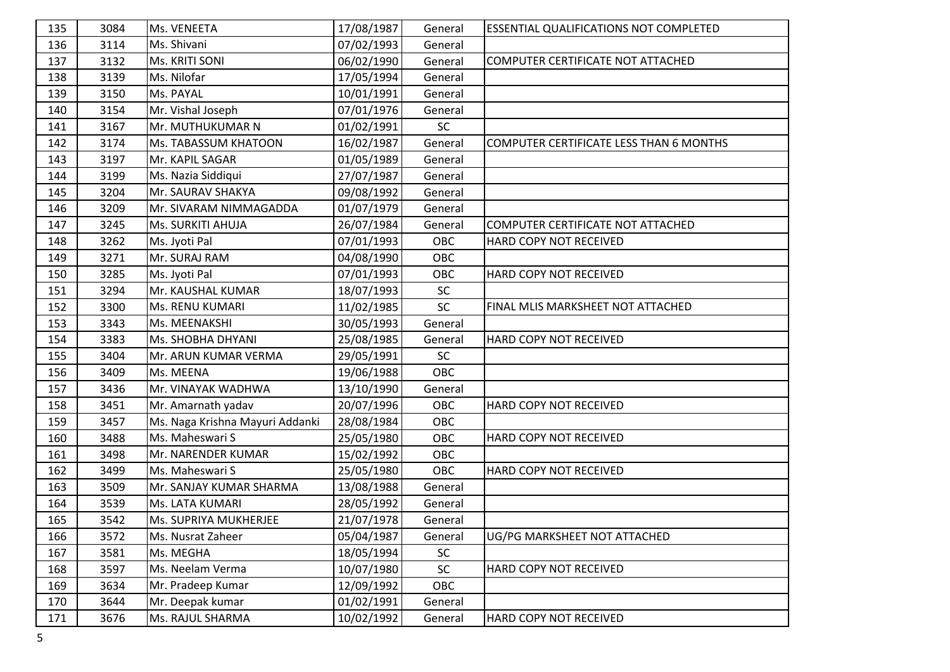| 135 | 3084 | Ms. VENEETA                     | 17/08/1987 | General  | <b>ESSENTIAL QUALIFICATIONS NOT COMPLETED</b> |
|-----|------|---------------------------------|------------|----------|-----------------------------------------------|
| 136 | 3114 | Ms. Shivani                     | 07/02/1993 | General  |                                               |
| 137 | 3132 | Ms. KRITI SONI                  | 06/02/1990 | General  | COMPUTER CERTIFICATE NOT ATTACHED             |
| 138 | 3139 | Ms. Nilofar                     | 17/05/1994 | General  |                                               |
| 139 | 3150 | Ms. PAYAL                       | 10/01/1991 | General  |                                               |
| 140 | 3154 | Mr. Vishal Joseph               | 07/01/1976 | General  |                                               |
| 141 | 3167 | Mr. MUTHUKUMAR N                | 01/02/1991 | SC       |                                               |
| 142 | 3174 | Ms. TABASSUM KHATOON            | 16/02/1987 | General  | COMPUTER CERTIFICATE LESS THAN 6 MONTHS       |
| 143 | 3197 | Mr. KAPIL SAGAR                 | 01/05/1989 | General  |                                               |
| 144 | 3199 | Ms. Nazia Siddiqui              | 27/07/1987 | General  |                                               |
| 145 | 3204 | Mr. SAURAV SHAKYA               | 09/08/1992 | General  |                                               |
| 146 | 3209 | Mr. SIVARAM NIMMAGADDA          | 01/07/1979 | General  |                                               |
| 147 | 3245 | Ms. SURKITI AHUJA               | 26/07/1984 | General  | COMPUTER CERTIFICATE NOT ATTACHED             |
| 148 | 3262 | Ms. Jyoti Pal                   | 07/01/1993 | OBC      | HARD COPY NOT RECEIVED                        |
| 149 | 3271 | Mr. SURAJ RAM                   | 04/08/1990 | OBC      |                                               |
| 150 | 3285 | Ms. Jyoti Pal                   | 07/01/1993 | OBC      | HARD COPY NOT RECEIVED                        |
| 151 | 3294 | Mr. KAUSHAL KUMAR               | 18/07/1993 | SC       |                                               |
| 152 | 3300 | Ms. RENU KUMARI                 | 11/02/1985 | SC       | FINAL MLIS MARKSHEET NOT ATTACHED             |
| 153 | 3343 | Ms. MEENAKSHI                   | 30/05/1993 | General  |                                               |
| 154 | 3383 | Ms. SHOBHA DHYANI               | 25/08/1985 | General  | HARD COPY NOT RECEIVED                        |
| 155 | 3404 | Mr. ARUN KUMAR VERMA            | 29/05/1991 | SC       |                                               |
| 156 | 3409 | Ms. MEENA                       | 19/06/1988 | OBC      |                                               |
| 157 | 3436 | Mr. VINAYAK WADHWA              | 13/10/1990 | General  |                                               |
| 158 | 3451 | Mr. Amarnath yadav              | 20/07/1996 | OBC      | HARD COPY NOT RECEIVED                        |
| 159 | 3457 | Ms. Naga Krishna Mayuri Addanki | 28/08/1984 | OBC      |                                               |
| 160 | 3488 | Ms. Maheswari S                 | 25/05/1980 | OBC      | HARD COPY NOT RECEIVED                        |
| 161 | 3498 | Mr. NARENDER KUMAR              | 15/02/1992 | OBC      |                                               |
| 162 | 3499 | Ms. Maheswari S                 | 25/05/1980 | OBC      | HARD COPY NOT RECEIVED                        |
| 163 | 3509 | Mr. SANJAY KUMAR SHARMA         | 13/08/1988 | General  |                                               |
| 164 | 3539 | Ms. LATA KUMARI                 | 28/05/1992 | General  |                                               |
| 165 | 3542 | Ms. SUPRIYA MUKHERJEE           | 21/07/1978 | General  |                                               |
| 166 | 3572 | Ms. Nusrat Zaheer               | 05/04/1987 | General  | UG/PG MARKSHEET NOT ATTACHED                  |
| 167 | 3581 | Ms. MEGHA                       | 18/05/1994 | $\sf SC$ |                                               |
| 168 | 3597 | Ms. Neelam Verma                | 10/07/1980 | $\sf SC$ | HARD COPY NOT RECEIVED                        |
| 169 | 3634 | Mr. Pradeep Kumar               | 12/09/1992 | OBC      |                                               |
| 170 | 3644 | Mr. Deepak kumar                | 01/02/1991 | General  |                                               |
| 171 | 3676 | Ms. RAJUL SHARMA                | 10/02/1992 | General  | HARD COPY NOT RECEIVED                        |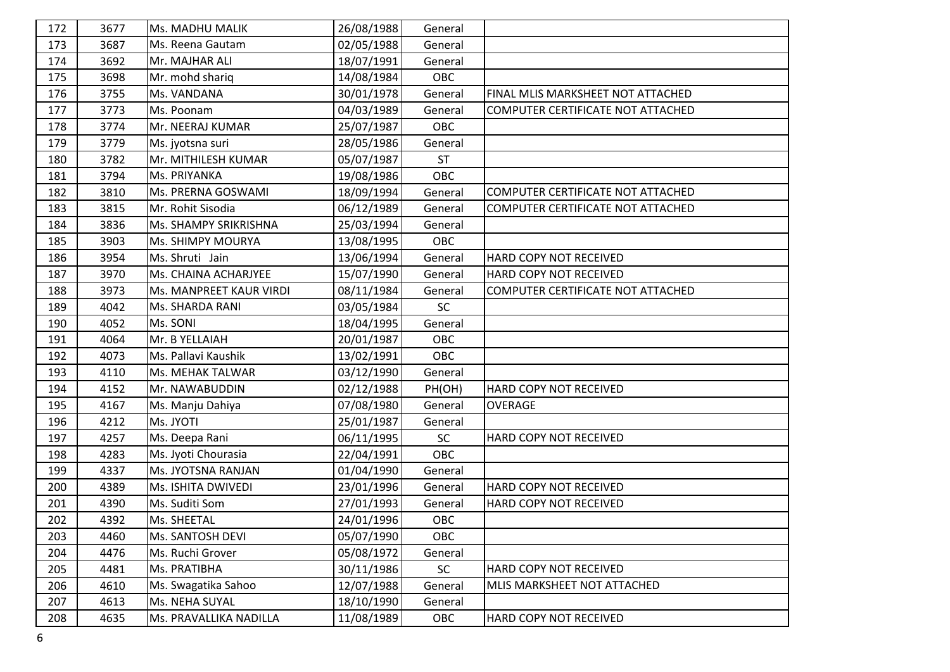| 172 | 3677 | <b>Ms. MADHU MALIK</b>  | 26/08/1988 | General   |                                   |
|-----|------|-------------------------|------------|-----------|-----------------------------------|
| 173 | 3687 | Ms. Reena Gautam        | 02/05/1988 | General   |                                   |
| 174 | 3692 | Mr. MAJHAR ALI          | 18/07/1991 | General   |                                   |
| 175 | 3698 | Mr. mohd shariq         | 14/08/1984 | OBC       |                                   |
| 176 | 3755 | Ms. VANDANA             | 30/01/1978 | General   | FINAL MLIS MARKSHEET NOT ATTACHED |
| 177 | 3773 | Ms. Poonam              | 04/03/1989 | General   | COMPUTER CERTIFICATE NOT ATTACHED |
| 178 | 3774 | Mr. NEERAJ KUMAR        | 25/07/1987 | OBC       |                                   |
| 179 | 3779 | Ms. jyotsna suri        | 28/05/1986 | General   |                                   |
| 180 | 3782 | Mr. MITHILESH KUMAR     | 05/07/1987 | <b>ST</b> |                                   |
| 181 | 3794 | Ms. PRIYANKA            | 19/08/1986 | OBC       |                                   |
| 182 | 3810 | Ms. PRERNA GOSWAMI      | 18/09/1994 | General   | COMPUTER CERTIFICATE NOT ATTACHED |
| 183 | 3815 | Mr. Rohit Sisodia       | 06/12/1989 | General   | COMPUTER CERTIFICATE NOT ATTACHED |
| 184 | 3836 | Ms. SHAMPY SRIKRISHNA   | 25/03/1994 | General   |                                   |
| 185 | 3903 | Ms. SHIMPY MOURYA       | 13/08/1995 | OBC       |                                   |
| 186 | 3954 | Ms. Shruti Jain         | 13/06/1994 | General   | HARD COPY NOT RECEIVED            |
| 187 | 3970 | Ms. CHAINA ACHARJYEE    | 15/07/1990 | General   | HARD COPY NOT RECEIVED            |
| 188 | 3973 | Ms. MANPREET KAUR VIRDI | 08/11/1984 | General   | COMPUTER CERTIFICATE NOT ATTACHED |
| 189 | 4042 | Ms. SHARDA RANI         | 03/05/1984 | SC        |                                   |
| 190 | 4052 | Ms. SONI                | 18/04/1995 | General   |                                   |
| 191 | 4064 | Mr. B YELLAIAH          | 20/01/1987 | OBC       |                                   |
| 192 | 4073 | Ms. Pallavi Kaushik     | 13/02/1991 | OBC       |                                   |
| 193 | 4110 | Ms. MEHAK TALWAR        | 03/12/1990 | General   |                                   |
| 194 | 4152 | Mr. NAWABUDDIN          | 02/12/1988 | PH(OH)    | HARD COPY NOT RECEIVED            |
| 195 | 4167 | Ms. Manju Dahiya        | 07/08/1980 | General   | <b>OVERAGE</b>                    |
| 196 | 4212 | Ms. JYOTI               | 25/01/1987 | General   |                                   |
| 197 | 4257 | Ms. Deepa Rani          | 06/11/1995 | SC        | HARD COPY NOT RECEIVED            |
| 198 | 4283 | Ms. Jyoti Chourasia     | 22/04/1991 | OBC       |                                   |
| 199 | 4337 | Ms. JYOTSNA RANJAN      | 01/04/1990 | General   |                                   |
| 200 | 4389 | Ms. ISHITA DWIVEDI      | 23/01/1996 | General   | HARD COPY NOT RECEIVED            |
| 201 | 4390 | Ms. Suditi Som          | 27/01/1993 | General   | HARD COPY NOT RECEIVED            |
| 202 | 4392 | Ms. SHEETAL             | 24/01/1996 | OBC       |                                   |
| 203 | 4460 | Ms. SANTOSH DEVI        | 05/07/1990 | OBC       |                                   |
| 204 | 4476 | Ms. Ruchi Grover        | 05/08/1972 | General   |                                   |
| 205 | 4481 | Ms. PRATIBHA            | 30/11/1986 | SC        | HARD COPY NOT RECEIVED            |
| 206 | 4610 | Ms. Swagatika Sahoo     | 12/07/1988 | General   | MLIS MARKSHEET NOT ATTACHED       |
| 207 | 4613 | Ms. NEHA SUYAL          | 18/10/1990 | General   |                                   |
| 208 | 4635 | Ms. PRAVALLIKA NADILLA  | 11/08/1989 | OBC       | HARD COPY NOT RECEIVED            |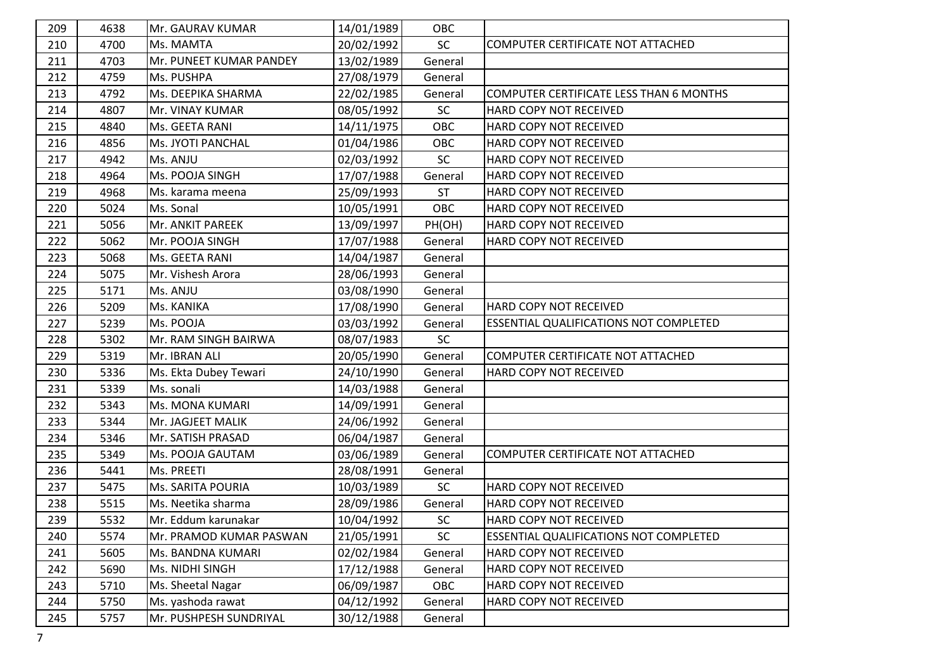| 209 | 4638 | Mr. GAURAV KUMAR        | 14/01/1989 | OBC       |                                               |
|-----|------|-------------------------|------------|-----------|-----------------------------------------------|
| 210 | 4700 | Ms. MAMTA               | 20/02/1992 | SC        | COMPUTER CERTIFICATE NOT ATTACHED             |
| 211 | 4703 | Mr. PUNEET KUMAR PANDEY | 13/02/1989 | General   |                                               |
| 212 | 4759 | Ms. PUSHPA              | 27/08/1979 | General   |                                               |
| 213 | 4792 | Ms. DEEPIKA SHARMA      | 22/02/1985 | General   | COMPUTER CERTIFICATE LESS THAN 6 MONTHS       |
| 214 | 4807 | Mr. VINAY KUMAR         | 08/05/1992 | SC        | HARD COPY NOT RECEIVED                        |
| 215 | 4840 | Ms. GEETA RANI          | 14/11/1975 | OBC       | HARD COPY NOT RECEIVED                        |
| 216 | 4856 | Ms. JYOTI PANCHAL       | 01/04/1986 | OBC       | HARD COPY NOT RECEIVED                        |
| 217 | 4942 | Ms. ANJU                | 02/03/1992 | SC        | HARD COPY NOT RECEIVED                        |
| 218 | 4964 | Ms. POOJA SINGH         | 17/07/1988 | General   | HARD COPY NOT RECEIVED                        |
| 219 | 4968 | Ms. karama meena        | 25/09/1993 | <b>ST</b> | HARD COPY NOT RECEIVED                        |
| 220 | 5024 | Ms. Sonal               | 10/05/1991 | OBC       | HARD COPY NOT RECEIVED                        |
| 221 | 5056 | Mr. ANKIT PAREEK        | 13/09/1997 | PH(OH)    | HARD COPY NOT RECEIVED                        |
| 222 | 5062 | Mr. POOJA SINGH         | 17/07/1988 | General   | HARD COPY NOT RECEIVED                        |
| 223 | 5068 | Ms. GEETA RANI          | 14/04/1987 | General   |                                               |
| 224 | 5075 | Mr. Vishesh Arora       | 28/06/1993 | General   |                                               |
| 225 | 5171 | Ms. ANJU                | 03/08/1990 | General   |                                               |
| 226 | 5209 | Ms. KANIKA              | 17/08/1990 | General   | HARD COPY NOT RECEIVED                        |
| 227 | 5239 | Ms. POOJA               | 03/03/1992 | General   | <b>ESSENTIAL QUALIFICATIONS NOT COMPLETED</b> |
| 228 | 5302 | Mr. RAM SINGH BAIRWA    | 08/07/1983 | <b>SC</b> |                                               |
| 229 | 5319 | Mr. IBRAN ALI           | 20/05/1990 | General   | COMPUTER CERTIFICATE NOT ATTACHED             |
| 230 | 5336 | Ms. Ekta Dubey Tewari   | 24/10/1990 | General   | HARD COPY NOT RECEIVED                        |
| 231 | 5339 | Ms. sonali              | 14/03/1988 | General   |                                               |
| 232 | 5343 | Ms. MONA KUMARI         | 14/09/1991 | General   |                                               |
| 233 | 5344 | Mr. JAGJEET MALIK       | 24/06/1992 | General   |                                               |
| 234 | 5346 | Mr. SATISH PRASAD       | 06/04/1987 | General   |                                               |
| 235 | 5349 | Ms. POOJA GAUTAM        | 03/06/1989 | General   | COMPUTER CERTIFICATE NOT ATTACHED             |
| 236 | 5441 | Ms. PREETI              | 28/08/1991 | General   |                                               |
| 237 | 5475 | Ms. SARITA POURIA       | 10/03/1989 | <b>SC</b> | HARD COPY NOT RECEIVED                        |
| 238 | 5515 | Ms. Neetika sharma      | 28/09/1986 | General   | HARD COPY NOT RECEIVED                        |
| 239 | 5532 | Mr. Eddum karunakar     | 10/04/1992 | <b>SC</b> | <b>HARD COPY NOT RECEIVED</b>                 |
| 240 | 5574 | Mr. PRAMOD KUMAR PASWAN | 21/05/1991 | <b>SC</b> | <b>ESSENTIAL QUALIFICATIONS NOT COMPLETED</b> |
| 241 | 5605 | Ms. BANDNA KUMARI       | 02/02/1984 | General   | HARD COPY NOT RECEIVED                        |
| 242 | 5690 | Ms. NIDHI SINGH         | 17/12/1988 | General   | HARD COPY NOT RECEIVED                        |
| 243 | 5710 | Ms. Sheetal Nagar       | 06/09/1987 | OBC       | HARD COPY NOT RECEIVED                        |
| 244 | 5750 | Ms. yashoda rawat       | 04/12/1992 | General   | HARD COPY NOT RECEIVED                        |
| 245 | 5757 | Mr. PUSHPESH SUNDRIYAL  | 30/12/1988 | General   |                                               |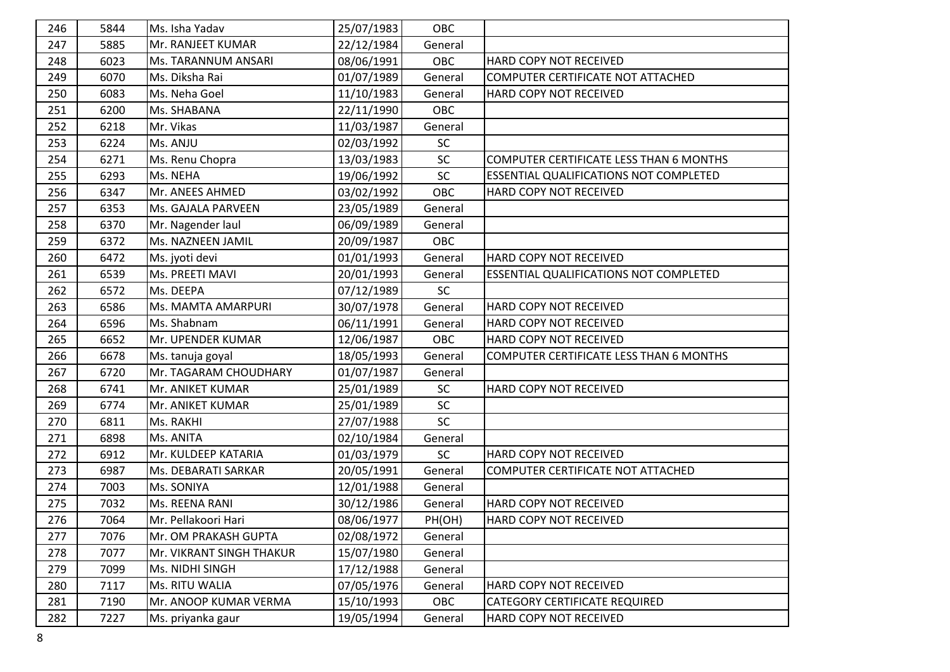| 246 | 5844 | Ms. Isha Yadav           | 25/07/1983 | OBC     |                                               |
|-----|------|--------------------------|------------|---------|-----------------------------------------------|
| 247 | 5885 | Mr. RANJEET KUMAR        | 22/12/1984 | General |                                               |
| 248 | 6023 | Ms. TARANNUM ANSARI      | 08/06/1991 | OBC     | HARD COPY NOT RECEIVED                        |
| 249 | 6070 | Ms. Diksha Rai           | 01/07/1989 | General | COMPUTER CERTIFICATE NOT ATTACHED             |
| 250 | 6083 | Ms. Neha Goel            | 11/10/1983 | General | HARD COPY NOT RECEIVED                        |
| 251 | 6200 | Ms. SHABANA              | 22/11/1990 | OBC     |                                               |
| 252 | 6218 | Mr. Vikas                | 11/03/1987 | General |                                               |
| 253 | 6224 | Ms. ANJU                 | 02/03/1992 | SC      |                                               |
| 254 | 6271 | Ms. Renu Chopra          | 13/03/1983 | SC      | COMPUTER CERTIFICATE LESS THAN 6 MONTHS       |
| 255 | 6293 | Ms. NEHA                 | 19/06/1992 | SC      | <b>ESSENTIAL QUALIFICATIONS NOT COMPLETED</b> |
| 256 | 6347 | Mr. ANEES AHMED          | 03/02/1992 | OBC     | HARD COPY NOT RECEIVED                        |
| 257 | 6353 | Ms. GAJALA PARVEEN       | 23/05/1989 | General |                                               |
| 258 | 6370 | Mr. Nagender laul        | 06/09/1989 | General |                                               |
| 259 | 6372 | Ms. NAZNEEN JAMIL        | 20/09/1987 | OBC     |                                               |
| 260 | 6472 | Ms. jyoti devi           | 01/01/1993 | General | HARD COPY NOT RECEIVED                        |
| 261 | 6539 | Ms. PREETI MAVI          | 20/01/1993 | General | <b>ESSENTIAL QUALIFICATIONS NOT COMPLETED</b> |
| 262 | 6572 | Ms. DEEPA                | 07/12/1989 | SC      |                                               |
| 263 | 6586 | Ms. MAMTA AMARPURI       | 30/07/1978 | General | HARD COPY NOT RECEIVED                        |
| 264 | 6596 | Ms. Shabnam              | 06/11/1991 | General | HARD COPY NOT RECEIVED                        |
| 265 | 6652 | Mr. UPENDER KUMAR        | 12/06/1987 | OBC     | HARD COPY NOT RECEIVED                        |
| 266 | 6678 | Ms. tanuja goyal         | 18/05/1993 | General | COMPUTER CERTIFICATE LESS THAN 6 MONTHS       |
| 267 | 6720 | Mr. TAGARAM CHOUDHARY    | 01/07/1987 | General |                                               |
| 268 | 6741 | Mr. ANIKET KUMAR         | 25/01/1989 | SC      | HARD COPY NOT RECEIVED                        |
| 269 | 6774 | Mr. ANIKET KUMAR         | 25/01/1989 | SC      |                                               |
| 270 | 6811 | Ms. RAKHI                | 27/07/1988 | SC      |                                               |
| 271 | 6898 | Ms. ANITA                | 02/10/1984 | General |                                               |
| 272 | 6912 | Mr. KULDEEP KATARIA      | 01/03/1979 | SC      | HARD COPY NOT RECEIVED                        |
| 273 | 6987 | Ms. DEBARATI SARKAR      | 20/05/1991 | General | COMPUTER CERTIFICATE NOT ATTACHED             |
| 274 | 7003 | Ms. SONIYA               | 12/01/1988 | General |                                               |
| 275 | 7032 | Ms. REENA RANI           | 30/12/1986 | General | HARD COPY NOT RECEIVED                        |
| 276 | 7064 | Mr. Pellakoori Hari      | 08/06/1977 | PH(OH)  | <b>HARD COPY NOT RECEIVED</b>                 |
| 277 | 7076 | Mr. OM PRAKASH GUPTA     | 02/08/1972 | General |                                               |
| 278 | 7077 | Mr. VIKRANT SINGH THAKUR | 15/07/1980 | General |                                               |
| 279 | 7099 | Ms. NIDHI SINGH          | 17/12/1988 | General |                                               |
| 280 | 7117 | Ms. RITU WALIA           | 07/05/1976 | General | HARD COPY NOT RECEIVED                        |
| 281 | 7190 | Mr. ANOOP KUMAR VERMA    | 15/10/1993 | OBC     | CATEGORY CERTIFICATE REQUIRED                 |
| 282 | 7227 | Ms. priyanka gaur        | 19/05/1994 | General | HARD COPY NOT RECEIVED                        |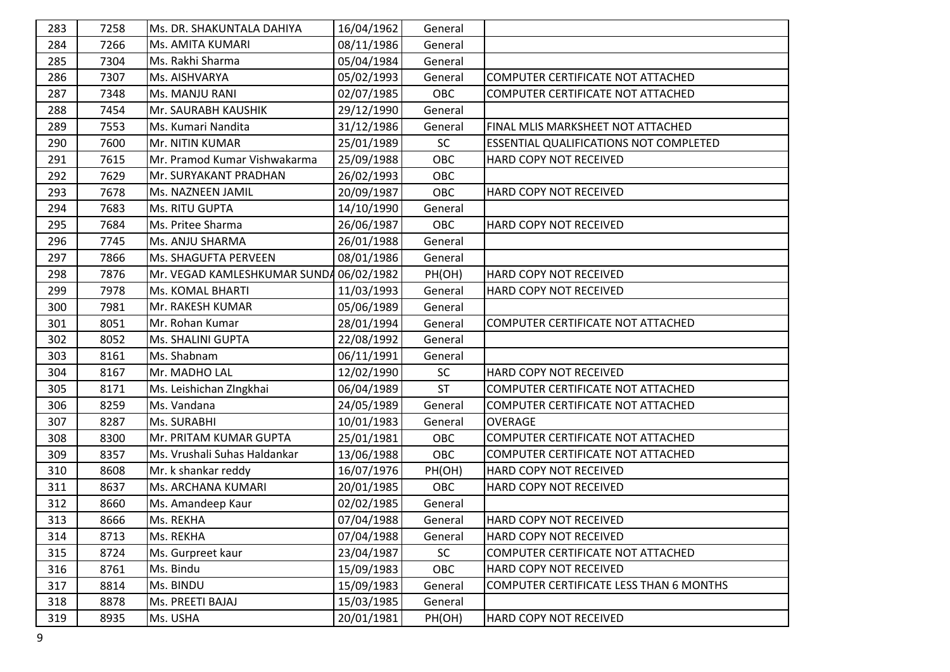| 283 | 7258 | Ms. DR. SHAKUNTALA DAHIYA               | 16/04/1962 | General    |                                               |
|-----|------|-----------------------------------------|------------|------------|-----------------------------------------------|
| 284 | 7266 | Ms. AMITA KUMARI                        | 08/11/1986 | General    |                                               |
| 285 | 7304 | Ms. Rakhi Sharma                        | 05/04/1984 | General    |                                               |
| 286 | 7307 | Ms. AISHVARYA                           | 05/02/1993 | General    | COMPUTER CERTIFICATE NOT ATTACHED             |
| 287 | 7348 | Ms. MANJU RANI                          | 02/07/1985 | <b>OBC</b> | COMPUTER CERTIFICATE NOT ATTACHED             |
| 288 | 7454 | Mr. SAURABH KAUSHIK                     | 29/12/1990 | General    |                                               |
| 289 | 7553 | Ms. Kumari Nandita                      | 31/12/1986 | General    | FINAL MLIS MARKSHEET NOT ATTACHED             |
| 290 | 7600 | Mr. NITIN KUMAR                         | 25/01/1989 | SC         | <b>ESSENTIAL QUALIFICATIONS NOT COMPLETED</b> |
| 291 | 7615 | Mr. Pramod Kumar Vishwakarma            | 25/09/1988 | OBC        | HARD COPY NOT RECEIVED                        |
| 292 | 7629 | Mr. SURYAKANT PRADHAN                   | 26/02/1993 | OBC        |                                               |
| 293 | 7678 | Ms. NAZNEEN JAMIL                       | 20/09/1987 | OBC        | HARD COPY NOT RECEIVED                        |
| 294 | 7683 | Ms. RITU GUPTA                          | 14/10/1990 | General    |                                               |
| 295 | 7684 | Ms. Pritee Sharma                       | 26/06/1987 | OBC        | HARD COPY NOT RECEIVED                        |
| 296 | 7745 | Ms. ANJU SHARMA                         | 26/01/1988 | General    |                                               |
| 297 | 7866 | Ms. SHAGUFTA PERVEEN                    | 08/01/1986 | General    |                                               |
| 298 | 7876 | Mr. VEGAD KAMLESHKUMAR SUNDA 06/02/1982 |            | PH(OH)     | HARD COPY NOT RECEIVED                        |
| 299 | 7978 | Ms. KOMAL BHARTI                        | 11/03/1993 | General    | HARD COPY NOT RECEIVED                        |
| 300 | 7981 | Mr. RAKESH KUMAR                        | 05/06/1989 | General    |                                               |
| 301 | 8051 | Mr. Rohan Kumar                         | 28/01/1994 | General    | COMPUTER CERTIFICATE NOT ATTACHED             |
| 302 | 8052 | Ms. SHALINI GUPTA                       | 22/08/1992 | General    |                                               |
| 303 | 8161 | Ms. Shabnam                             | 06/11/1991 | General    |                                               |
| 304 | 8167 | Mr. MADHO LAL                           | 12/02/1990 | <b>SC</b>  | HARD COPY NOT RECEIVED                        |
| 305 | 8171 | Ms. Leishichan ZIngkhai                 | 06/04/1989 | <b>ST</b>  | COMPUTER CERTIFICATE NOT ATTACHED             |
| 306 | 8259 | Ms. Vandana                             | 24/05/1989 | General    | COMPUTER CERTIFICATE NOT ATTACHED             |
| 307 | 8287 | Ms. SURABHI                             | 10/01/1983 | General    | <b>OVERAGE</b>                                |
| 308 | 8300 | Mr. PRITAM KUMAR GUPTA                  | 25/01/1981 | OBC        | COMPUTER CERTIFICATE NOT ATTACHED             |
| 309 | 8357 | Ms. Vrushali Suhas Haldankar            | 13/06/1988 | OBC        | COMPUTER CERTIFICATE NOT ATTACHED             |
| 310 | 8608 | Mr. k shankar reddy                     | 16/07/1976 | PH(OH)     | HARD COPY NOT RECEIVED                        |
| 311 | 8637 | Ms. ARCHANA KUMARI                      | 20/01/1985 | OBC        | HARD COPY NOT RECEIVED                        |
| 312 | 8660 | Ms. Amandeep Kaur                       | 02/02/1985 | General    |                                               |
| 313 | 8666 | Ms. REKHA                               | 07/04/1988 | General    | <b>HARD COPY NOT RECEIVED</b>                 |
| 314 | 8713 | Ms. REKHA                               | 07/04/1988 | General    | HARD COPY NOT RECEIVED                        |
| 315 | 8724 | Ms. Gurpreet kaur                       | 23/04/1987 | SC         | COMPUTER CERTIFICATE NOT ATTACHED             |
| 316 | 8761 | Ms. Bindu                               | 15/09/1983 | OBC        | HARD COPY NOT RECEIVED                        |
| 317 | 8814 | Ms. BINDU                               | 15/09/1983 | General    | COMPUTER CERTIFICATE LESS THAN 6 MONTHS       |
| 318 | 8878 | Ms. PREETI BAJAJ                        | 15/03/1985 | General    |                                               |
| 319 | 8935 | Ms. USHA                                | 20/01/1981 | PH(OH)     | HARD COPY NOT RECEIVED                        |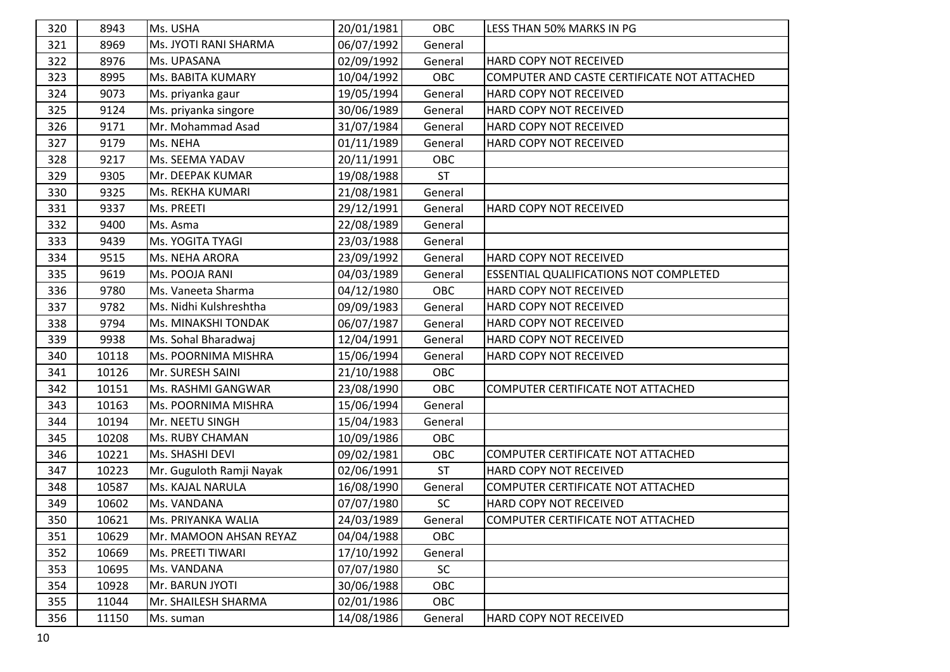| 320 | 8943  | Ms. USHA                 | 20/01/1981 | OBC       | LESS THAN 50% MARKS IN PG                     |
|-----|-------|--------------------------|------------|-----------|-----------------------------------------------|
| 321 | 8969  | Ms. JYOTI RANI SHARMA    | 06/07/1992 | General   |                                               |
| 322 | 8976  | Ms. UPASANA              | 02/09/1992 | General   | <b>HARD COPY NOT RECEIVED</b>                 |
| 323 | 8995  | Ms. BABITA KUMARY        | 10/04/1992 | OBC       | COMPUTER AND CASTE CERTIFICATE NOT ATTACHED   |
| 324 | 9073  | Ms. priyanka gaur        | 19/05/1994 | General   | HARD COPY NOT RECEIVED                        |
| 325 | 9124  | Ms. priyanka singore     | 30/06/1989 | General   | HARD COPY NOT RECEIVED                        |
| 326 | 9171  | Mr. Mohammad Asad        | 31/07/1984 | General   | HARD COPY NOT RECEIVED                        |
| 327 | 9179  | Ms. NEHA                 | 01/11/1989 | General   | HARD COPY NOT RECEIVED                        |
| 328 | 9217  | Ms. SEEMA YADAV          | 20/11/1991 | OBC       |                                               |
| 329 | 9305  | Mr. DEEPAK KUMAR         | 19/08/1988 | <b>ST</b> |                                               |
| 330 | 9325  | Ms. REKHA KUMARI         | 21/08/1981 | General   |                                               |
| 331 | 9337  | Ms. PREETI               | 29/12/1991 | General   | HARD COPY NOT RECEIVED                        |
| 332 | 9400  | Ms. Asma                 | 22/08/1989 | General   |                                               |
| 333 | 9439  | Ms. YOGITA TYAGI         | 23/03/1988 | General   |                                               |
| 334 | 9515  | Ms. NEHA ARORA           | 23/09/1992 | General   | HARD COPY NOT RECEIVED                        |
| 335 | 9619  | Ms. POOJA RANI           | 04/03/1989 | General   | <b>ESSENTIAL QUALIFICATIONS NOT COMPLETED</b> |
| 336 | 9780  | Ms. Vaneeta Sharma       | 04/12/1980 | OBC       | <b>HARD COPY NOT RECEIVED</b>                 |
| 337 | 9782  | Ms. Nidhi Kulshreshtha   | 09/09/1983 | General   | HARD COPY NOT RECEIVED                        |
| 338 | 9794  | Ms. MINAKSHI TONDAK      | 06/07/1987 | General   | HARD COPY NOT RECEIVED                        |
| 339 | 9938  | Ms. Sohal Bharadwaj      | 12/04/1991 | General   | HARD COPY NOT RECEIVED                        |
| 340 | 10118 | Ms. POORNIMA MISHRA      | 15/06/1994 | General   | HARD COPY NOT RECEIVED                        |
| 341 | 10126 | Mr. SURESH SAINI         | 21/10/1988 | OBC       |                                               |
| 342 | 10151 | Ms. RASHMI GANGWAR       | 23/08/1990 | OBC       | COMPUTER CERTIFICATE NOT ATTACHED             |
| 343 | 10163 | Ms. POORNIMA MISHRA      | 15/06/1994 | General   |                                               |
| 344 | 10194 | Mr. NEETU SINGH          | 15/04/1983 | General   |                                               |
| 345 | 10208 | Ms. RUBY CHAMAN          | 10/09/1986 | OBC       |                                               |
| 346 | 10221 | Ms. SHASHI DEVI          | 09/02/1981 | OBC       | COMPUTER CERTIFICATE NOT ATTACHED             |
| 347 | 10223 | Mr. Guguloth Ramji Nayak | 02/06/1991 | <b>ST</b> | HARD COPY NOT RECEIVED                        |
| 348 | 10587 | Ms. KAJAL NARULA         | 16/08/1990 | General   | COMPUTER CERTIFICATE NOT ATTACHED             |
| 349 | 10602 | Ms. VANDANA              | 07/07/1980 | <b>SC</b> | HARD COPY NOT RECEIVED                        |
| 350 | 10621 | Ms. PRIYANKA WALIA       | 24/03/1989 | General   | <b>COMPUTER CERTIFICATE NOT ATTACHED</b>      |
| 351 | 10629 | Mr. MAMOON AHSAN REYAZ   | 04/04/1988 | OBC       |                                               |
| 352 | 10669 | Ms. PREETI TIWARI        | 17/10/1992 | General   |                                               |
| 353 | 10695 | Ms. VANDANA              | 07/07/1980 | <b>SC</b> |                                               |
| 354 | 10928 | Mr. BARUN JYOTI          | 30/06/1988 | OBC       |                                               |
| 355 | 11044 | Mr. SHAILESH SHARMA      | 02/01/1986 | OBC       |                                               |
| 356 | 11150 | Ms. suman                | 14/08/1986 | General   | HARD COPY NOT RECEIVED                        |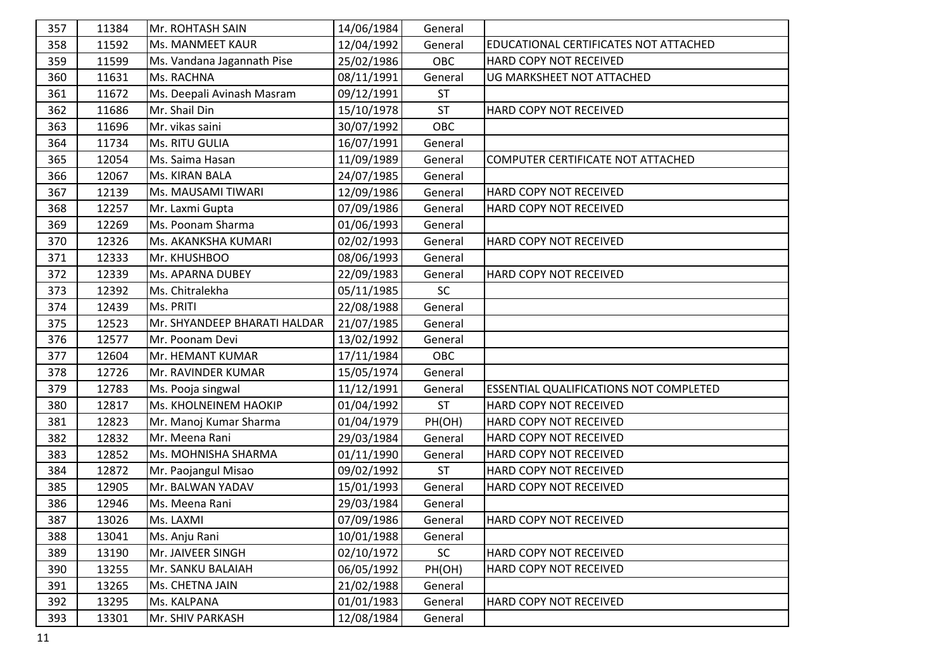| 357 | 11384 | Mr. ROHTASH SAIN             | 14/06/1984 | General   |                                        |
|-----|-------|------------------------------|------------|-----------|----------------------------------------|
| 358 | 11592 | Ms. MANMEET KAUR             | 12/04/1992 | General   | EDUCATIONAL CERTIFICATES NOT ATTACHED  |
| 359 | 11599 | Ms. Vandana Jagannath Pise   | 25/02/1986 | OBC       | HARD COPY NOT RECEIVED                 |
| 360 | 11631 | Ms. RACHNA                   | 08/11/1991 | General   | UG MARKSHEET NOT ATTACHED              |
| 361 | 11672 | Ms. Deepali Avinash Masram   | 09/12/1991 | <b>ST</b> |                                        |
| 362 | 11686 | Mr. Shail Din                | 15/10/1978 | <b>ST</b> | HARD COPY NOT RECEIVED                 |
| 363 | 11696 | Mr. vikas saini              | 30/07/1992 | OBC       |                                        |
| 364 | 11734 | Ms. RITU GULIA               | 16/07/1991 | General   |                                        |
| 365 | 12054 | Ms. Saima Hasan              | 11/09/1989 | General   | COMPUTER CERTIFICATE NOT ATTACHED      |
| 366 | 12067 | Ms. KIRAN BALA               | 24/07/1985 | General   |                                        |
| 367 | 12139 | Ms. MAUSAMI TIWARI           | 12/09/1986 | General   | HARD COPY NOT RECEIVED                 |
| 368 | 12257 | Mr. Laxmi Gupta              | 07/09/1986 | General   | HARD COPY NOT RECEIVED                 |
| 369 | 12269 | Ms. Poonam Sharma            | 01/06/1993 | General   |                                        |
| 370 | 12326 | Ms. AKANKSHA KUMARI          | 02/02/1993 | General   | HARD COPY NOT RECEIVED                 |
| 371 | 12333 | Mr. KHUSHBOO                 | 08/06/1993 | General   |                                        |
| 372 | 12339 | Ms. APARNA DUBEY             | 22/09/1983 | General   | HARD COPY NOT RECEIVED                 |
| 373 | 12392 | Ms. Chitralekha              | 05/11/1985 | SC        |                                        |
| 374 | 12439 | Ms. PRITI                    | 22/08/1988 | General   |                                        |
| 375 | 12523 | Mr. SHYANDEEP BHARATI HALDAR | 21/07/1985 | General   |                                        |
| 376 | 12577 | Mr. Poonam Devi              | 13/02/1992 | General   |                                        |
| 377 | 12604 | Mr. HEMANT KUMAR             | 17/11/1984 | OBC       |                                        |
| 378 | 12726 | Mr. RAVINDER KUMAR           | 15/05/1974 | General   |                                        |
| 379 | 12783 | Ms. Pooja singwal            | 11/12/1991 | General   | ESSENTIAL QUALIFICATIONS NOT COMPLETED |
| 380 | 12817 | Ms. KHOLNEINEM HAOKIP        | 01/04/1992 | <b>ST</b> | HARD COPY NOT RECEIVED                 |
| 381 | 12823 | Mr. Manoj Kumar Sharma       | 01/04/1979 | PH(OH)    | HARD COPY NOT RECEIVED                 |
| 382 | 12832 | Mr. Meena Rani               | 29/03/1984 | General   | HARD COPY NOT RECEIVED                 |
| 383 | 12852 | Ms. MOHNISHA SHARMA          | 01/11/1990 | General   | HARD COPY NOT RECEIVED                 |
| 384 | 12872 | Mr. Paojangul Misao          | 09/02/1992 | <b>ST</b> | HARD COPY NOT RECEIVED                 |
| 385 | 12905 | Mr. BALWAN YADAV             | 15/01/1993 | General   | HARD COPY NOT RECEIVED                 |
| 386 | 12946 | Ms. Meena Rani               | 29/03/1984 | General   |                                        |
| 387 | 13026 | Ms. LAXMI                    | 07/09/1986 | General   | <b>HARD COPY NOT RECEIVED</b>          |
| 388 | 13041 | Ms. Anju Rani                | 10/01/1988 | General   |                                        |
| 389 | 13190 | Mr. JAIVEER SINGH            | 02/10/1972 | SC        | HARD COPY NOT RECEIVED                 |
| 390 | 13255 | Mr. SANKU BALAIAH            | 06/05/1992 | PH(OH)    | HARD COPY NOT RECEIVED                 |
| 391 | 13265 | Ms. CHETNA JAIN              | 21/02/1988 | General   |                                        |
| 392 | 13295 | Ms. KALPANA                  | 01/01/1983 | General   | HARD COPY NOT RECEIVED                 |
| 393 | 13301 | Mr. SHIV PARKASH             | 12/08/1984 | General   |                                        |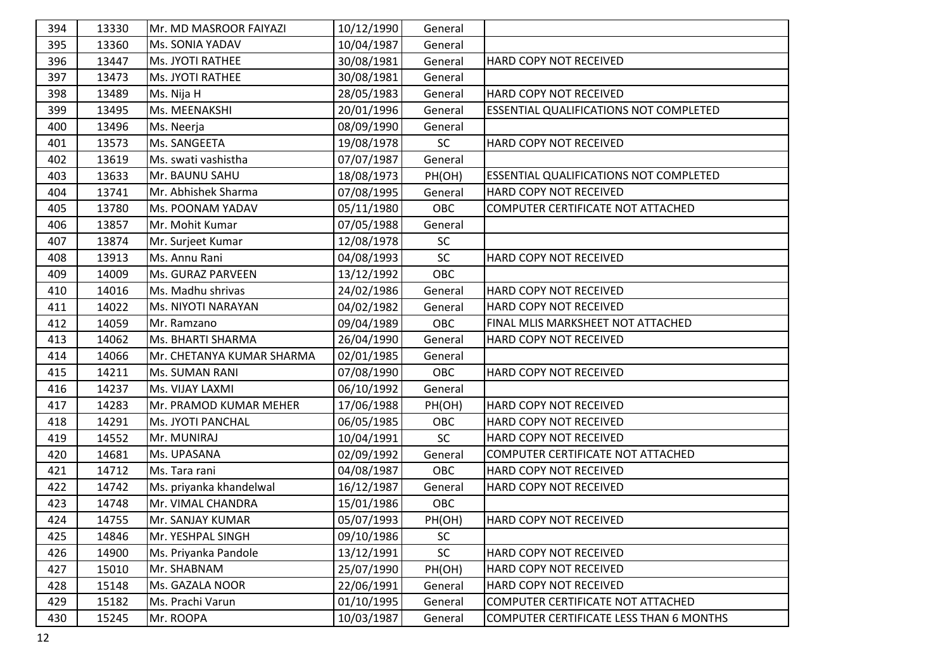| 394 | 13330 | Mr. MD MASROOR FAIYAZI    | 10/12/1990 | General   |                                                |
|-----|-------|---------------------------|------------|-----------|------------------------------------------------|
| 395 | 13360 | Ms. SONIA YADAV           | 10/04/1987 | General   |                                                |
| 396 | 13447 | Ms. JYOTI RATHEE          | 30/08/1981 | General   | HARD COPY NOT RECEIVED                         |
| 397 | 13473 | Ms. JYOTI RATHEE          | 30/08/1981 | General   |                                                |
| 398 | 13489 | Ms. Nija H                | 28/05/1983 | General   | HARD COPY NOT RECEIVED                         |
| 399 | 13495 | Ms. MEENAKSHI             | 20/01/1996 | General   | ESSENTIAL QUALIFICATIONS NOT COMPLETED         |
| 400 | 13496 | Ms. Neerja                | 08/09/1990 | General   |                                                |
| 401 | 13573 | Ms. SANGEETA              | 19/08/1978 | SC        | HARD COPY NOT RECEIVED                         |
| 402 | 13619 | Ms. swati vashistha       | 07/07/1987 | General   |                                                |
| 403 | 13633 | Mr. BAUNU SAHU            | 18/08/1973 | PH(OH)    | ESSENTIAL QUALIFICATIONS NOT COMPLETED         |
| 404 | 13741 | Mr. Abhishek Sharma       | 07/08/1995 | General   | HARD COPY NOT RECEIVED                         |
| 405 | 13780 | Ms. POONAM YADAV          | 05/11/1980 | OBC       | COMPUTER CERTIFICATE NOT ATTACHED              |
| 406 | 13857 | Mr. Mohit Kumar           | 07/05/1988 | General   |                                                |
| 407 | 13874 | Mr. Surjeet Kumar         | 12/08/1978 | SC        |                                                |
| 408 | 13913 | Ms. Annu Rani             | 04/08/1993 | SC        | HARD COPY NOT RECEIVED                         |
| 409 | 14009 | Ms. GURAZ PARVEEN         | 13/12/1992 | OBC       |                                                |
| 410 | 14016 | Ms. Madhu shrivas         | 24/02/1986 | General   | HARD COPY NOT RECEIVED                         |
| 411 | 14022 | Ms. NIYOTI NARAYAN        | 04/02/1982 | General   | HARD COPY NOT RECEIVED                         |
| 412 | 14059 | Mr. Ramzano               | 09/04/1989 | OBC       | FINAL MLIS MARKSHEET NOT ATTACHED              |
| 413 | 14062 | Ms. BHARTI SHARMA         | 26/04/1990 | General   | HARD COPY NOT RECEIVED                         |
| 414 | 14066 | Mr. CHETANYA KUMAR SHARMA | 02/01/1985 | General   |                                                |
| 415 | 14211 | Ms. SUMAN RANI            | 07/08/1990 | OBC       | HARD COPY NOT RECEIVED                         |
| 416 | 14237 | Ms. VIJAY LAXMI           | 06/10/1992 | General   |                                                |
| 417 | 14283 | Mr. PRAMOD KUMAR MEHER    | 17/06/1988 | PH(OH)    | HARD COPY NOT RECEIVED                         |
| 418 | 14291 | Ms. JYOTI PANCHAL         | 06/05/1985 | OBC       | HARD COPY NOT RECEIVED                         |
| 419 | 14552 | Mr. MUNIRAJ               | 10/04/1991 | SC        | HARD COPY NOT RECEIVED                         |
| 420 | 14681 | Ms. UPASANA               | 02/09/1992 | General   | COMPUTER CERTIFICATE NOT ATTACHED              |
| 421 | 14712 | Ms. Tara rani             | 04/08/1987 | OBC       | HARD COPY NOT RECEIVED                         |
| 422 | 14742 | Ms. priyanka khandelwal   | 16/12/1987 | General   | HARD COPY NOT RECEIVED                         |
| 423 | 14748 | Mr. VIMAL CHANDRA         | 15/01/1986 | OBC       |                                                |
| 424 | 14755 | Mr. SANJAY KUMAR          | 05/07/1993 | PH(OH)    | <b>HARD COPY NOT RECEIVED</b>                  |
| 425 | 14846 | Mr. YESHPAL SINGH         | 09/10/1986 | <b>SC</b> |                                                |
| 426 | 14900 | Ms. Priyanka Pandole      | 13/12/1991 | SC        | HARD COPY NOT RECEIVED                         |
| 427 | 15010 | Mr. SHABNAM               | 25/07/1990 | PH(OH)    | HARD COPY NOT RECEIVED                         |
| 428 | 15148 | Ms. GAZALA NOOR           | 22/06/1991 | General   | HARD COPY NOT RECEIVED                         |
| 429 | 15182 | Ms. Prachi Varun          | 01/10/1995 | General   | COMPUTER CERTIFICATE NOT ATTACHED              |
| 430 | 15245 | Mr. ROOPA                 | 10/03/1987 | General   | <b>COMPUTER CERTIFICATE LESS THAN 6 MONTHS</b> |